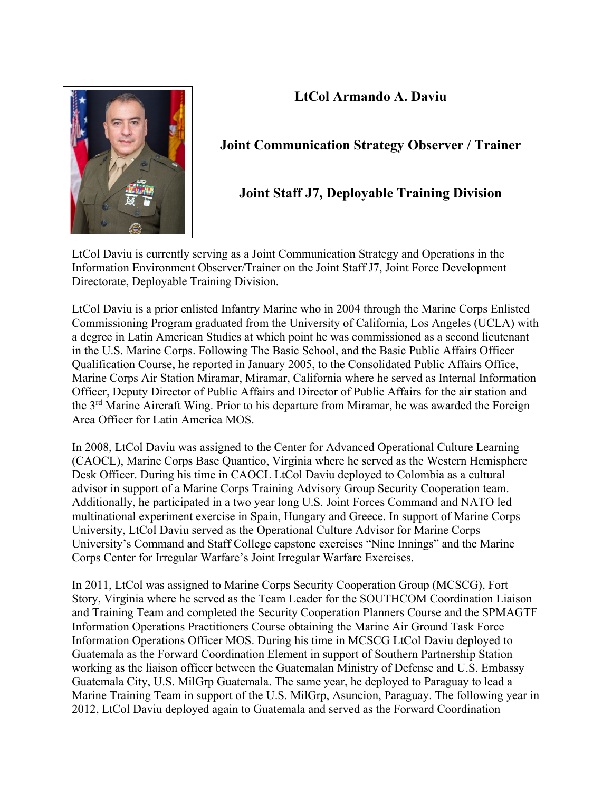## **LtCol Armando A. Daviu**



## **Joint Communication Strategy Observer / Trainer**

## **Joint Staff J7, Deployable Training Division**

LtCol Daviu is currently serving as a Joint Communication Strategy and Operations in the Information Environment Observer/Trainer on the Joint Staff J7, Joint Force Development Directorate, Deployable Training Division.

LtCol Daviu is a prior enlisted Infantry Marine who in 2004 through the Marine Corps Enlisted Commissioning Program graduated from the University of California, Los Angeles (UCLA) with a degree in Latin American Studies at which point he was commissioned as a second lieutenant in the U.S. Marine Corps. Following The Basic School, and the Basic Public Affairs Officer Qualification Course, he reported in January 2005, to the Consolidated Public Affairs Office, Marine Corps Air Station Miramar, Miramar, California where he served as Internal Information Officer, Deputy Director of Public Affairs and Director of Public Affairs for the air station and the 3<sup>rd</sup> Marine Aircraft Wing. Prior to his departure from Miramar, he was awarded the Foreign Area Officer for Latin America MOS.

In 2008, LtCol Daviu was assigned to the Center for Advanced Operational Culture Learning (CAOCL), Marine Corps Base Quantico, Virginia where he served as the Western Hemisphere Desk Officer. During his time in CAOCL LtCol Daviu deployed to Colombia as a cultural advisor in support of a Marine Corps Training Advisory Group Security Cooperation team. Additionally, he participated in a two year long U.S. Joint Forces Command and NATO led multinational experiment exercise in Spain, Hungary and Greece. In support of Marine Corps University, LtCol Daviu served as the Operational Culture Advisor for Marine Corps University's Command and Staff College capstone exercises "Nine Innings" and the Marine Corps Center for Irregular Warfare's Joint Irregular Warfare Exercises.

In 2011, LtCol was assigned to Marine Corps Security Cooperation Group (MCSCG), Fort Story, Virginia where he served as the Team Leader for the SOUTHCOM Coordination Liaison and Training Team and completed the Security Cooperation Planners Course and the SPMAGTF Information Operations Practitioners Course obtaining the Marine Air Ground Task Force Information Operations Officer MOS. During his time in MCSCG LtCol Daviu deployed to Guatemala as the Forward Coordination Element in support of Southern Partnership Station working as the liaison officer between the Guatemalan Ministry of Defense and U.S. Embassy Guatemala City, U.S. MilGrp Guatemala. The same year, he deployed to Paraguay to lead a Marine Training Team in support of the U.S. MilGrp, Asuncion, Paraguay. The following year in 2012, LtCol Daviu deployed again to Guatemala and served as the Forward Coordination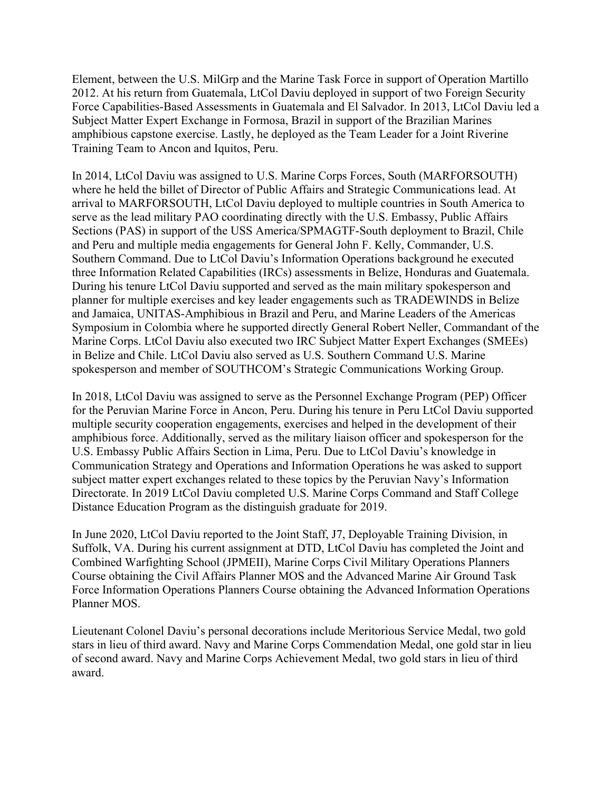Element, between the U.S. MilGrp and the Marine Task Force in support of Operation Martillo 2012. At his return from Guatemala, LtCol Daviu deployed in support of two Foreign Security Force Capabilities-Based Assessments in Guatemala and El Salvador. In 2013, LtCol Daviu led a Subject Matter Expert Exchange in Formosa, Brazil in support of the Brazilian Marines amphibious capstone exercise. Lastly, he deployed as the Team Leader for a Joint Riverine Training Team to Ancon and Iquitos, Peru.

In 2014, LtCol Daviu was assigned to U.S. Marine Corps Forces, South (MARFORSOUTH) where he held the billet of Director of Public Affairs and Strategic Communications lead. At arrival to MARFORSOUTH, LtCol Daviu deployed to multiple countries in South America to serve as the lead military PAO coordinating directly with the U.S. Embassy, Public Affairs Sections (PAS) in support of the USS America/SPMAGTF-South deployment to Brazil, Chile and Peru and multiple media engagements for General John F. Kelly, Commander, U.S. Southern Command. Due to LtCol Daviu's Information Operations background he executed three Information Related Capabilities (IRCs) assessments in Belize, Honduras and Guatemala. During his tenure LtCol Daviu supported and served as the main military spokesperson and planner for multiple exercises and key leader engagements such as TRADEWINDS in Belize and Jamaica, UNITAS-Amphibious in Brazil and Peru, and Marine Leaders of the Americas Symposium in Colombia where he supported directly General Robert Neller, Commandant of the Marine Corps. LtCol Daviu also executed two IRC Subject Matter Expert Exchanges (SMEEs) in Belize and Chile. LtCol Daviu also served as U.S. Southern Command U.S. Marine spokesperson and member of SOUTHCOM's Strategic Communications Working Group.

In 2018, LtCol Daviu was assigned to serve as the Personnel Exchange Program (PEP) Officer for the Peruvian Marine Force in Ancon, Peru. During his tenure in Peru LtCol Daviu supported multiple security cooperation engagements, exercises and helped in the development of their amphibious force. Additionally, served as the military liaison officer and spokesperson for the U.S. Embassy Public Affairs Section in Lima, Peru. Due to LtCol Daviu's knowledge in Communication Strategy and Operations and Information Operations he was asked to support subject matter expert exchanges related to these topics by the Peruvian Navy's Information Directorate. In 2019 LtCol Daviu completed U.S. Marine Corps Command and Staff College Distance Education Program as the distinguish graduate for 2019.

In June 2020, LtCol Daviu reported to the Joint Staff, J7, Deployable Training Division, in Suffolk, VA. During his current assignment at DTD, LtCol Daviu has completed the Joint and Combined Warfighting School (JPMEII), Marine Corps Civil Military Operations Planners Course obtaining the Civil Affairs Planner MOS and the Advanced Marine Air Ground Task Force Information Operations Planners Course obtaining the Advanced Information Operations Planner MOS.

Lieutenant Colonel Daviu's personal decorations include Meritorious Service Medal, two gold stars in lieu of third award. Navy and Marine Corps Commendation Medal, one gold star in lieu of second award. Navy and Marine Corps Achievement Medal, two gold stars in lieu of third award.